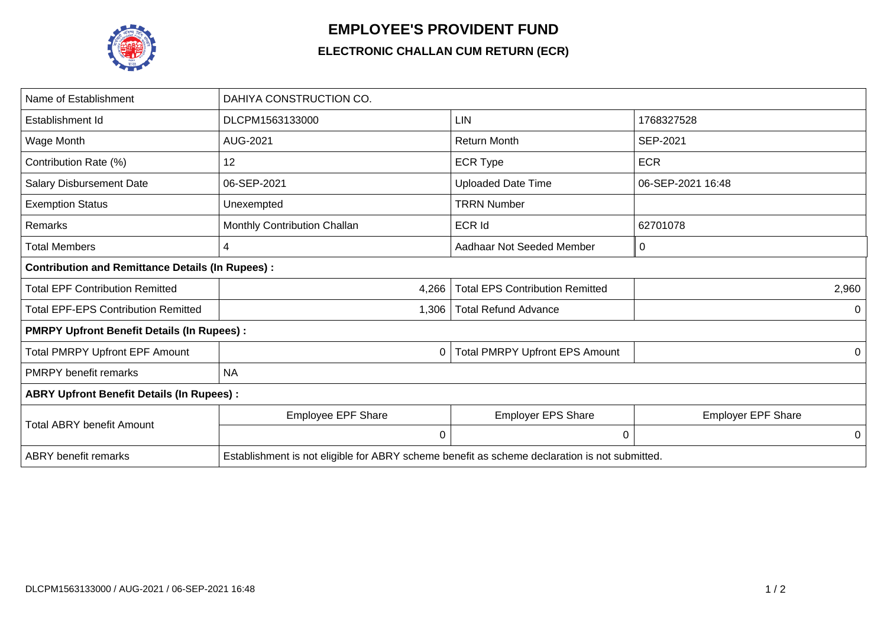

## **EMPLOYEE'S PROVIDENT FUND**

## **ELECTRONIC CHALLAN CUM RETURN (ECR)**

| Name of Establishment                                   | DAHIYA CONSTRUCTION CO.                                                                       |                                        |                           |  |  |  |
|---------------------------------------------------------|-----------------------------------------------------------------------------------------------|----------------------------------------|---------------------------|--|--|--|
| Establishment Id                                        | DLCPM1563133000                                                                               | <b>LIN</b>                             | 1768327528                |  |  |  |
| Wage Month                                              | AUG-2021                                                                                      | <b>Return Month</b>                    | SEP-2021                  |  |  |  |
| Contribution Rate (%)                                   | 12                                                                                            | <b>ECR Type</b>                        | <b>ECR</b>                |  |  |  |
| <b>Salary Disbursement Date</b>                         | 06-SEP-2021                                                                                   | <b>Uploaded Date Time</b>              | 06-SEP-2021 16:48         |  |  |  |
| <b>Exemption Status</b>                                 | Unexempted                                                                                    | <b>TRRN Number</b>                     |                           |  |  |  |
| <b>Remarks</b>                                          | Monthly Contribution Challan                                                                  | <b>ECR Id</b>                          | 62701078                  |  |  |  |
| Total Members                                           | 4                                                                                             | Aadhaar Not Seeded Member              | 0                         |  |  |  |
| <b>Contribution and Remittance Details (In Rupees):</b> |                                                                                               |                                        |                           |  |  |  |
| <b>Total EPF Contribution Remitted</b>                  | 4,266                                                                                         | <b>Total EPS Contribution Remitted</b> | 2,960                     |  |  |  |
| <b>Total EPF-EPS Contribution Remitted</b>              | 1,306                                                                                         | <b>Total Refund Advance</b>            | 0                         |  |  |  |
| <b>PMRPY Upfront Benefit Details (In Rupees):</b>       |                                                                                               |                                        |                           |  |  |  |
| <b>Total PMRPY Upfront EPF Amount</b>                   | 0                                                                                             | <b>Total PMRPY Upfront EPS Amount</b>  | 0                         |  |  |  |
| <b>PMRPY</b> benefit remarks                            | <b>NA</b>                                                                                     |                                        |                           |  |  |  |
| <b>ABRY Upfront Benefit Details (In Rupees):</b>        |                                                                                               |                                        |                           |  |  |  |
| <b>Total ABRY benefit Amount</b>                        | Employee EPF Share                                                                            | <b>Employer EPS Share</b>              | <b>Employer EPF Share</b> |  |  |  |
|                                                         | 0                                                                                             | 0                                      | 0                         |  |  |  |
| <b>ABRY</b> benefit remarks                             | Establishment is not eligible for ABRY scheme benefit as scheme declaration is not submitted. |                                        |                           |  |  |  |